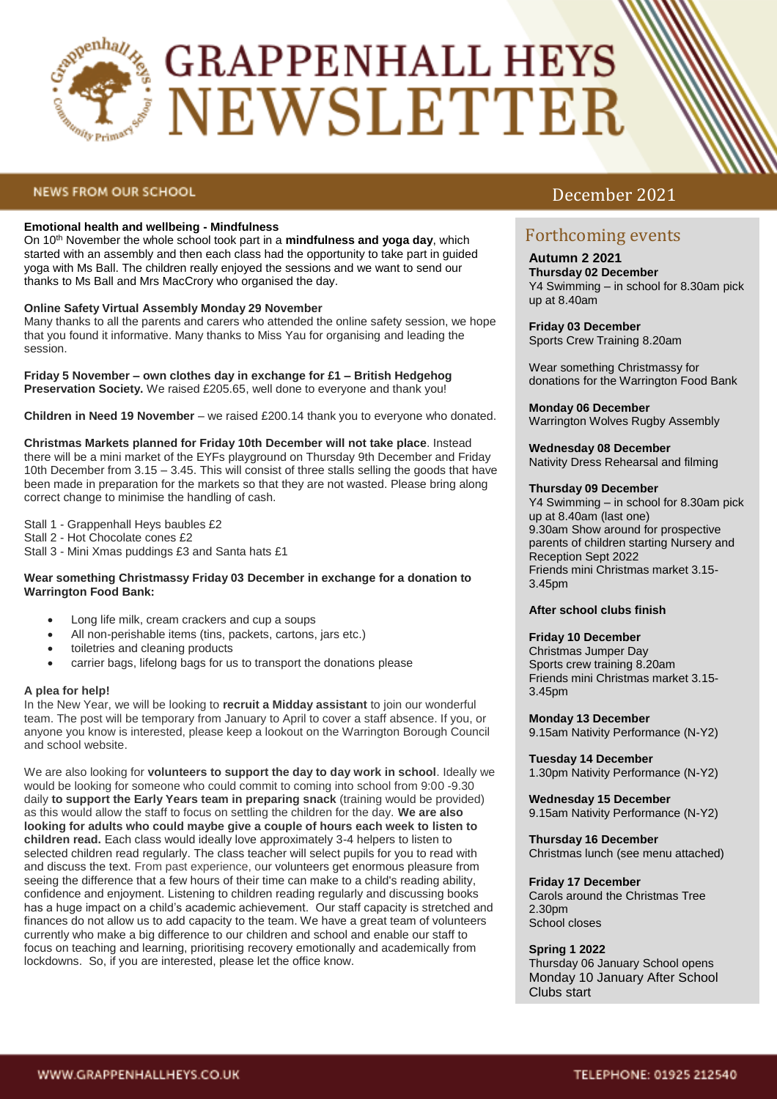

# **GRAPPENHALL HEYS** NEWSLETTER

# **NEWS FROM OUR SCHOOL**

## **Emotional health and wellbeing - Mindfulness**

On 10th November the whole school took part in a **mindfulness and yoga day**, which started with an assembly and then each class had the opportunity to take part in guided yoga with Ms Ball. The children really enjoyed the sessions and we want to send our thanks to Ms Ball and Mrs MacCrory who organised the day.

#### **Online Safety Virtual Assembly Monday 29 November**

Many thanks to all the parents and carers who attended the online safety session, we hope that you found it informative. Many thanks to Miss Yau for organising and leading the session.

**Friday 5 November – own clothes day in exchange for £1 – British Hedgehog Preservation Society.** We raised £205.65, well done to everyone and thank you!

**Children in Need 19 November** – we raised £200.14 thank you to everyone who donated.

**Christmas Markets planned for Friday 10th December will not take place**. Instead there will be a mini market of the EYFs playground on Thursday 9th December and Friday 10th December from 3.15 – 3.45. This will consist of three stalls selling the goods that have been made in preparation for the markets so that they are not wasted. Please bring along correct change to minimise the handling of cash.

Stall 1 - Grappenhall Heys baubles £2

Stall 2 - Hot Chocolate cones £2

Stall 3 - Mini Xmas puddings £3 and Santa hats £1

#### **Wear something Christmassy Friday 03 December in exchange for a donation to Warrington Food Bank:**

- Long life milk, cream crackers and cup a soups
- All non-perishable items (tins, packets, cartons, jars etc.)
- toiletries and cleaning products
- carrier bags, lifelong bags for us to transport the donations please

#### **A plea for help!**

In the New Year, we will be looking to **recruit a Midday assistant** to join our wonderful team. The post will be temporary from January to April to cover a staff absence. If you, or anyone you know is interested, please keep a lookout on the Warrington Borough Council and school website.

We are also looking for **volunteers to support the day to day work in school**. Ideally we would be looking for someone who could commit to coming into school from 9:00 -9.30 daily **to support the Early Years team in preparing snack** (training would be provided) as this would allow the staff to focus on settling the children for the day. **We are also looking for adults who could maybe give a couple of hours each week to listen to children read.** Each class would ideally love approximately 3-4 helpers to listen to selected children read regularly. The class teacher will select pupils for you to read with and discuss the text. From past experience, our volunteers get enormous pleasure from seeing the difference that a few hours of their time can make to a child's reading ability, confidence and enjoyment. Listening to children reading regularly and discussing books has a huge impact on a child's academic achievement. Our staff capacity is stretched and finances do not allow us to add capacity to the team. We have a great team of volunteers currently who make a big difference to our children and school and enable our staff to focus on teaching and learning, prioritising recovery emotionally and academically from lockdowns. So, if you are interested, please let the office know.

# December 2021

# Forthcoming events

**Autumn 2 2021 Thursday 02 December**  Y4 Swimming – in school for 8.30am pick up at 8.40am

**Friday 03 December**  Sports Crew Training 8.20am

Wear something Christmassy for donations for the Warrington Food Bank

**Monday 06 December**  Warrington Wolves Rugby Assembly

**Wednesday 08 December**

Nativity Dress Rehearsal and filming

#### **Thursday 09 December**

Y4 Swimming – in school for 8.30am pick up at 8.40am (last one) 9.30am Show around for prospective parents of children starting Nursery and Reception Sept 2022 Friends mini Christmas market 3.15- 3.45pm

#### **After school clubs finish**

#### **Friday 10 December**

Christmas Jumper Day Sports crew training 8.20am Friends mini Christmas market 3.15- 3.45pm

**Monday 13 December** 

9.15am Nativity Performance (N-Y2)

**Tuesday 14 December**  1.30pm Nativity Performance (N-Y2)

**Wednesday 15 December**  9.15am Nativity Performance (N-Y2)

**Thursday 16 December**  Christmas lunch (see menu attached)

## **Friday 17 December**

Carols around the Christmas Tree 2.30pm School closes

#### **Spring 1 2022**

Thursday 06 January School opens Monday 10 January After School Clubs start